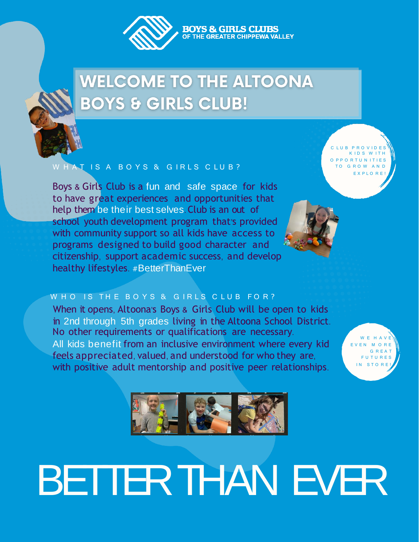

# **WELCOME TO THE ALTOONA BOYS & GIRLS CLUB!**

### W H A T I S A B O Y S & G I R L S C L U B ?

Boys & Girls Club is a fun and safe space for kids to have great experiences and opportunities that help them be their best selves. Club is an out of school youth development program that's provided with community support so all kids have access to programs designed to build good character and citizenship, support academic success, and develop healthy lifestyles. #BetterThanEver

C LUB PROVIDES K IDS W ITH P P O R T U N I T I E S O G R O W A N D EXPLORE!

### W H O IS THE BOYS & GIRLS CLUB FOR?

No other requirements or qualifications are necessary. All kids benefit from an inclusive environment where every kid feels appreciated, valued, and understood for who they are, with positive adult mentorship and positive peer relationships. When it opens, Altoona's Boys & Girls Club will be open to kids in 2nd through 5th grades living in the Altoona School District.

W E H A V E EN MORE G R E A T F U T U R E S IN STORE



# BETTERTHAN EVER